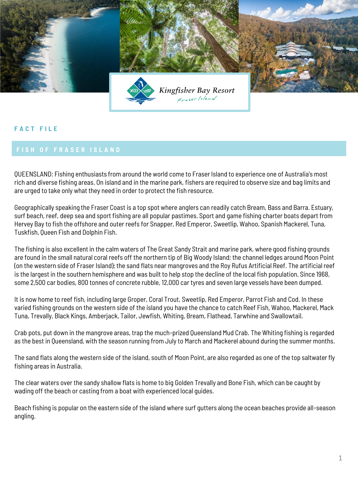

## **F A C T F I L E**

QUEENSLAND: Fishing enthusiasts from around the world come to Fraser Island to experience one of Australia's most rich and diverse fishing areas. On island and in the marine park, fishers are required to observe size and bag limits and are urged to take only what they need in order to protect the fish resource.

Geographically speaking the Fraser Coast is a top spot where anglers can readily catch Bream, Bass and Barra. Estuary, surf beach, reef, deep sea and sport fishing are all popular pastimes. Sport and game fishing charter boats depart from Hervey Bay to fish the offshore and outer reefs for Snapper, Red Emperor, Sweetlip, Wahoo, Spanish Mackerel, Tuna, Tuskfish, Queen Fish and Dolphin Fish.

The fishing is also excellent in the calm waters of The Great Sandy Strait and marine park, where good fishing grounds are found in the small natural coral reefs off the northern tip of Big Woody Island; the channel ledges around Moon Point (on the western side of Fraser Island); the sand flats near mangroves and the Roy Rufus Artificial Reef. The artificial reef is the largest in the southern hemisphere and was built to help stop the decline of the local fish population. Since 1968, some 2,500 car bodies, 800 tonnes of concrete rubble, 12,000 car tyres and seven large vessels have been dumped.

It is now home to reef fish, including large Groper, Coral Trout, Sweetlip, Red Emperor, Parrot Fish and Cod. In these varied fishing grounds on the western side of the island you have the chance to catch Reef Fish, Wahoo, Mackerel, Mack Tuna, Trevally, Black Kings, Amberjack, Tailor, Jewfish, Whiting, Bream, Flathead, Tarwhine and Swallowtail.

Crab pots, put down in the mangrove areas, trap the much-prized Queensland Mud Crab. The Whiting fishing is regarded as the best in Queensland, with the season running from July to March and Mackerel abound during the summer months.

The sand flats along the western side of the island, south of Moon Point, are also regarded as one of the top saltwater fly fishing areas in Australia.

The clear waters over the sandy shallow flats is home to big Golden Trevally and Bone Fish, which can be caught by wading off the beach or casting from a boat with experienced local guides.

Beach fishing is popular on the eastern side of the island where surf gutters along the ocean beaches provide all-season angling.